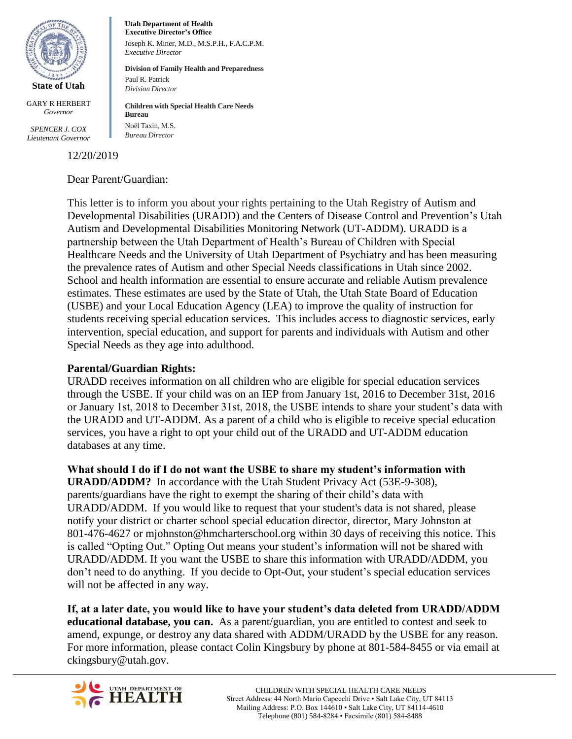

GARY R HERBERT *Governor*

*SPENCER J. COX Lieutenant Governor*

12/20/2019

#### Dear Parent/Guardian:

**Utah Department of Health Executive Director's Office**

*Executive Director* 

Paul R. Patrick *Division Director*

**Bureau** Noël Taxin, M.S. *Bureau Director*

Joseph K. Miner, M.D., M.S.P.H., F.A.C.P.M.

**Division of Family Health and Preparedness**

**Children with Special Health Care Needs**

This letter is to inform you about your rights pertaining to the Utah Registry of Autism and Developmental Disabilities (URADD) and the Centers of Disease Control and Prevention's Utah Autism and Developmental Disabilities Monitoring Network (UT-ADDM). URADD is a partnership between the Utah Department of Health's Bureau of Children with Special Healthcare Needs and the University of Utah Department of Psychiatry and has been measuring the prevalence rates of Autism and other Special Needs classifications in Utah since 2002. School and health information are essential to ensure accurate and reliable Autism prevalence estimates. These estimates are used by the State of Utah, the Utah State Board of Education (USBE) and your Local Education Agency (LEA) to improve the quality of instruction for students receiving special education services. This includes access to diagnostic services, early intervention, special education, and support for parents and individuals with Autism and other Special Needs as they age into adulthood.

### **Parental/Guardian Rights:**

URADD receives information on all children who are eligible for special education services through the USBE. If your child was on an IEP from January 1st, 2016 to December 31st, 2016 or January 1st, 2018 to December 31st, 2018, the USBE intends to share your student's data with the URADD and UT-ADDM. As a parent of a child who is eligible to receive special education services, you have a right to opt your child out of the URADD and UT-ADDM education databases at any time.

**What should I do if I do not want the USBE to share my student's information with URADD/ADDM?** In accordance with the Utah Student Privacy Act (53E-9-308), parents/guardians have the right to exempt the sharing of their child's data with URADD/ADDM. If you would like to request that your student's data is not shared, please notify your district or charter school special education director, director, Mary Johnston at 801-476-4627 or mjohnston@hmcharterschool.org within 30 days of receiving this notice. This is called "Opting Out." Opting Out means your student's information will not be shared with URADD/ADDM. If you want the USBE to share this information with URADD/ADDM, you don't need to do anything. If you decide to Opt-Out, your student's special education services will not be affected in any way.

**If, at a later date, you would like to have your student's data deleted from URADD/ADDM educational database, you can.** As a parent/guardian, you are entitled to contest and seek to amend, expunge, or destroy any data shared with ADDM/URADD by the USBE for any reason. For more information, please contact Colin Kingsbury by phone at 801-584-8455 or via email at ckingsbury@utah.gov.

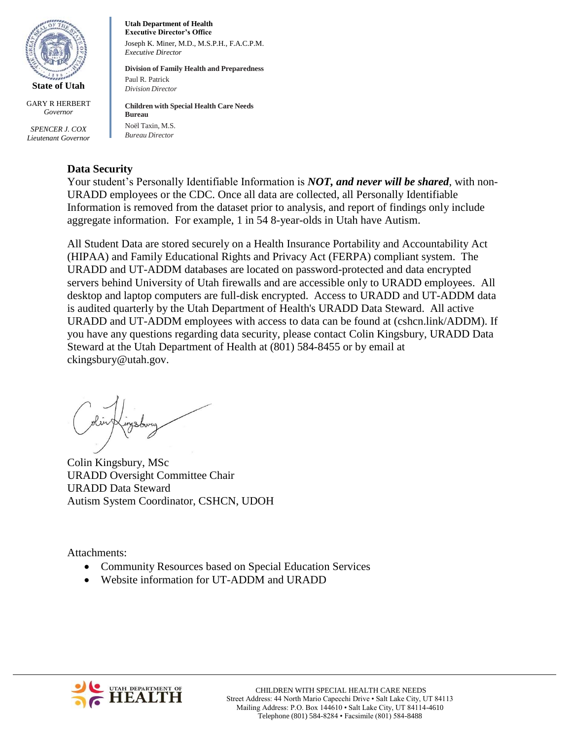

GARY R HERBERT *Governor*

*SPENCER J. COX Lieutenant Governor*

**Utah Department of Health Executive Director's Office** Joseph K. Miner, M.D., M.S.P.H., F.A.C.P.M. *Executive Director* 

**Division of Family Health and Preparedness** Paul R. Patrick *Division Director*

**Children with Special Health Care Needs Bureau** Noël Taxin, M.S. *Bureau Director*

# **Data Security**

Your student's Personally Identifiable Information is *NOT, and never will be shared*, with non-URADD employees or the CDC. Once all data are collected, all Personally Identifiable Information is removed from the dataset prior to analysis, and report of findings only include aggregate information. For example, 1 in 54 8-year-olds in Utah have Autism.

All Student Data are stored securely on a Health Insurance Portability and Accountability Act (HIPAA) and Family Educational Rights and Privacy Act (FERPA) compliant system. The URADD and UT-ADDM databases are located on password-protected and data encrypted servers behind University of Utah firewalls and are accessible only to URADD employees. All desktop and laptop computers are full-disk encrypted. Access to URADD and UT-ADDM data is audited quarterly by the Utah Department of Health's URADD Data Steward. All active URADD and UT-ADDM employees with access to data can be found at (cshcn.link/ADDM). If you have any questions regarding data security, please contact Colin Kingsbury, URADD Data Steward at the Utah Department of Health at (801) 584-8455 or by email at ckingsbury@utah.gov.

Colin Kingsbury, MSc URADD Oversight Committee Chair URADD Data Steward Autism System Coordinator, CSHCN, UDOH

Attachments:

- Community Resources based on Special Education Services
- Website information for UT-ADDM and URADD